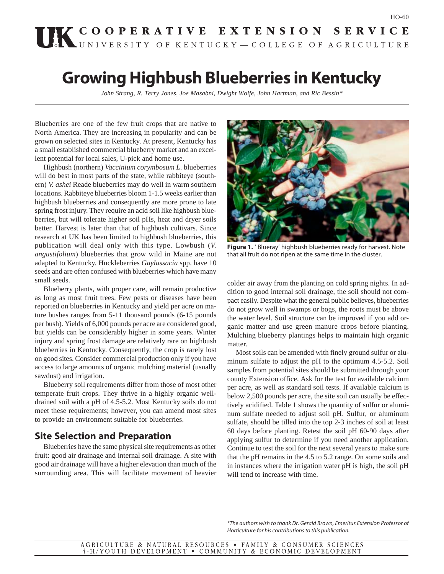# UK COOPERATIVE EXTENSION SERVICE

# **Growing Highbush Blueberries in Kentucky**

*John Strang, R. Terry Jones, Joe Masabni, Dwight Wolfe, John Hartman, and Ric Bessin\**

Blueberries are one of the few fruit crops that are native to North America. They are increasing in popularity and can be grown on selected sites in Kentucky. At present, Kentucky has a small established commercial blueberry market and an excellent potential for local sales, U-pick and home use.

Highbush (northern) *Vaccinium corymbosum L*. blueberries will do best in most parts of the state, while rabbiteye (southern) *V. ashei* Reade blueberries may do well in warm southern locations. Rabbiteye blueberries bloom 1-1.5 weeks earlier than highbush blueberries and consequently are more prone to late spring frost injury. They require an acid soil like highbush blueberries, but will tolerate higher soil pHs, heat and dryer soils better. Harvest is later than that of highbush cultivars. Since research at UK has been limited to highbush blueberries, this publication will deal only with this type. Lowbush (*V. angustifolium*) blueberries that grow wild in Maine are not adapted to Kentucky. Huckleberries *Gaylussacia* spp. have 10 seeds and are often confused with blueberries which have many small seeds.

Blueberry plants, with proper care, will remain productive as long as most fruit trees. Few pests or diseases have been reported on blueberries in Kentucky and yield per acre on mature bushes ranges from 5-11 thousand pounds (6-15 pounds per bush). Yields of 6,000 pounds per acre are considered good, but yields can be considerably higher in some years. Winter injury and spring frost damage are relatively rare on highbush blueberries in Kentucky. Consequently, the crop is rarely lost on good sites. Consider commercial production only if you have access to large amounts of organic mulching material (usually sawdust) and irrigation.

Blueberry soil requirements differ from those of most other temperate fruit crops. They thrive in a highly organic welldrained soil with a pH of 4.5-5.2. Most Kentucky soils do not meet these requirements; however, you can amend most sites to provide an environment suitable for blueberries.

# **Site Selection and Preparation**

Blueberries have the same physical site requirements as other fruit: good air drainage and internal soil drainage. A site with good air drainage will have a higher elevation than much of the surrounding area. This will facilitate movement of heavier



**Figure 1.** ' Blueray' highbush blueberries ready for harvest. Note that all fruit do not ripen at the same time in the cluster.

colder air away from the planting on cold spring nights. In addition to good internal soil drainage, the soil should not compact easily. Despite what the general public believes, blueberries do not grow well in swamps or bogs, the roots must be above the water level. Soil structure can be improved if you add organic matter and use green manure crops before planting. Mulching blueberry plantings helps to maintain high organic matter.

Most soils can be amended with finely ground sulfur or aluminum sulfate to adjust the pH to the optimum 4.5-5.2. Soil samples from potential sites should be submitted through your county Extension office. Ask for the test for available calcium per acre, as well as standard soil tests. If available calcium is below 2,500 pounds per acre, the site soil can usually be effectively acidified. Table 1 shows the quantity of sulfur or aluminum sulfate needed to adjust soil pH. Sulfur, or aluminum sulfate, should be tilled into the top 2-3 inches of soil at least 60 days before planting. Retest the soil pH 60-90 days after applying sulfur to determine if you need another application. Continue to test the soil for the next several years to make sure that the pH remains in the 4.5 to 5.2 range. On some soils and in instances where the irrigation water pH is high, the soil pH will tend to increase with time.

\_\_\_\_\_\_\_\_\_\_

<sup>\*</sup>The authors wish to thank Dr. Gerald Brown, Emeritus Extension Professor of Horticulture for his contributions to this publication.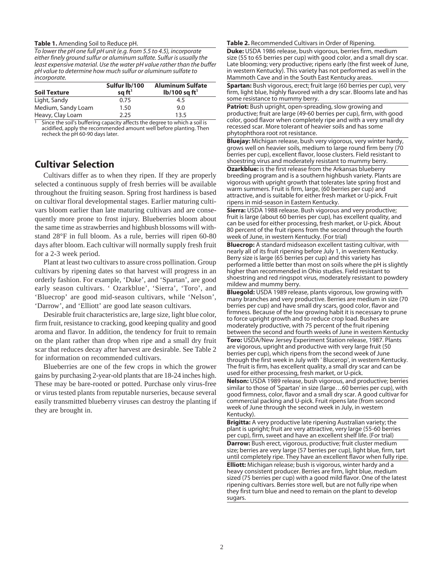#### **Table 1.** Amending Soil to Reduce pH.

To lower the pH one full pH unit (e.g. from 5.5 to 4.5), incorporate either finely ground sulfur or aluminum sulfate. Sulfur is usually the least expensive material. Use the water pH value rather than the buffer pH value to determine how much sulfur or aluminum sulfate to incorporate.

| <b>Soil Texture</b> | Sulfur lb/100<br>sq $ft1$ | <b>Aluminum Sulfate</b><br>$lb/100$ sq ft <sup>1</sup> |
|---------------------|---------------------------|--------------------------------------------------------|
| Light, Sandy        | 0.75                      | 4.5                                                    |
| Medium, Sandy Loam  | 1.50                      | 9.0                                                    |
| Heavy, Clay Loam    | 2.25                      | 13.5                                                   |

Since the soil's buffering capacity affects the degree to which a soil is acidified, apply the recommended amount well before planting. Then recheck the pH 60-90 days later.

# **Cultivar Selection**

Cultivars differ as to when they ripen. If they are properly selected a continuous supply of fresh berries will be available throughout the fruiting season. Spring frost hardiness is based on cultivar floral developmental stages. Earlier maturing cultivars bloom earlier than late maturing cultivars and are consequently more prone to frost injury. Blueberries bloom about the same time as strawberries and highbush blossoms will withstand 28°F in full bloom. As a rule, berries will ripen 60-80 days after bloom. Each cultivar will normally supply fresh fruit for a 2-3 week period.

Plant at least two cultivars to assure cross pollination. Group cultivars by ripening dates so that harvest will progress in an orderly fashion. For example, 'Duke', and 'Spartan', are good early season cultivars. ' Ozarkblue', 'Sierra', 'Toro', and 'Bluecrop' are good mid-season cultivars, while 'Nelson', 'Darrow', and 'Elliott' are good late season cultivars.

Desirable fruit characteristics are, large size, light blue color, firm fruit, resistance to cracking, good keeping quality and good aroma and flavor. In addition, the tendency for fruit to remain on the plant rather than drop when ripe and a small dry fruit scar that reduces decay after harvest are desirable. See Table 2 for information on recommended cultivars.

Blueberries are one of the few crops in which the grower gains by purchasing 2-year-old plants that are 18-24 inches high. These may be bare-rooted or potted. Purchase only virus-free or virus tested plants from reputable nurseries, because several easily transmitted blueberry viruses can destroy the planting if they are brought in.

**Table 2.** Recommended Cultivars in Order of Ripening.

**Duke:** USDA 1986 release, bush vigorous, berries firm, medium size (55 to 65 berries per cup) with good color, and a small dry scar. Late blooming; very productive; ripens early (the first week of June, in western Kentucky). This variety has not performed as well in the Mammoth Cave and in the South East Kentucky areas.

**Spartan:** Bush vigorous, erect; fruit large (60 berries per cup), very firm, light blue, highly flavored with a dry scar. Blooms late and has some resistance to mummy berry.

**Patriot:** Bush upright, open-spreading, slow growing and productive; fruit are large (49-60 berries per cup), firm, with good color, good flavor when completely ripe and with a very small dry recessed scar. More tolerant of heavier soils and has some phytophthora root rot resistance.

**Bluejay:** Michigan release, bush very vigorous, very winter hardy, grows well on heavier soils, medium to large round firm berry (70 berries per cup), excellent flavor, loose clusters. Field resistant to shoestring virus and moderately resistant to mummy berry.

**Ozarkblue:** is the first release from the Arkansas blueberry breeding program and is a southern highbush variety. Plants are vigorous with upright growth that tolerates late spring frost and warm summers. Fruit is firm, large, (60 berries per cup) and attractive, and is suitable for either fresh market or U-pick. Fruit ripens in mid-season in Eastern Kentucky.

**Sierra:** USDA 1988 release. Bush vigorous and very productive; fruit is large (about 60 berries per cup), has excellent quality, and can be used for either processing, fresh market, or U-pick. About 80 percent of the fruit ripens from the second through the fourth week of June, in western Kentucky. (For trial)

**Bluecrop:** A standard midseason excellent tasting cultivar, with nearly all of its fruit ripening before July 1, in western Kentucky. Berry size is large (65 berries per cup) and this variety has performed a little better than most on soils where the pH is slightly higher than recommended in Ohio studies. Field resistant to shoestring and red ringspot virus, moderately resistant to powdery mildew and mummy berry.

**Bluegold:** USDA 1989 release, plants vigorous, low growing with many branches and very productive. Berries are medium in size (70 berries per cup) and have small dry scars, good color, flavor and firmness. Because of the low growing habit it is necessary to prune to force upright growth and to reduce crop load. Bushes are moderately productive, with 75 percent of the fruit ripening between the second and fourth weeks of June in western Kentucky

**Toro:** USDA/New Jersey Experiment Station release, 1987. Plants are vigorous, upright and productive with very large fruit (50 berries per cup), which ripens from the second week of June through the first week in July with ' Blucerop', in western Kentucky. The fruit is firm, has excellent quality, a small dry scar and can be used for either processing, fresh market, or U-pick.

**Nelson:** USDA 1989 release, bush vigorous, and productive; berries similar to those of 'Spartan' in size (large…60 berries per cup), with good firmness, color, flavor and a small dry scar. A good cultivar for commercial packing and U-pick. Fruit ripens late (from second week of June through the second week in July, in western Kentucky).

**Brigitta:** A very productive late ripening Australian variety; the plant is upright; fruit are very attractive, very large (55-60 berries per cup), firm, sweet and have an excellent shelf life. (For trial)

**Darrow:** Bush erect, vigorous, productive; fruit cluster medium size; berries are very large (57 berries per cup), light blue, firm, tart until completely ripe. They have an excellent flavor when fully ripe.

**Elliott:** Michigan release; bush is vigorous, winter hardy and a heavy consistent producer. Berries are firm, light blue, medium sized (75 berries per cup) with a good mild flavor. One of the latest ripening cultivars. Berries store well, but are not fully ripe when they first turn blue and need to remain on the plant to develop sugars.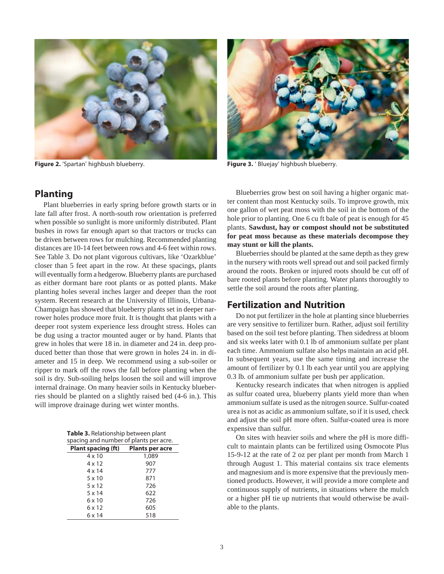

**Figure 2.** 'Spartan' highbush blueberry. **Figure 3.** ' Bluejay' highbush blueberry.



## **Planting**

Plant blueberries in early spring before growth starts or in late fall after frost. A north-south row orientation is preferred when possible so sunlight is more uniformly distributed. Plant bushes in rows far enough apart so that tractors or trucks can be driven between rows for mulching. Recommended planting distances are 10-14 feet between rows and 4-6 feet within rows. See Table 3. Do not plant vigorous cultivars, like 'Ozarkblue' closer than 5 feet apart in the row. At these spacings, plants will eventually form a hedgerow. Blueberry plants are purchased as either dormant bare root plants or as potted plants. Make planting holes several inches larger and deeper than the root system. Recent research at the University of Illinois, Urbana-Champaign has showed that blueberry plants set in deeper narrower holes produce more fruit. It is thought that plants with a deeper root system experience less drought stress. Holes can be dug using a tractor mounted auger or by hand. Plants that grew in holes that were 18 in. in diameter and 24 in. deep produced better than those that were grown in holes 24 in. in diameter and 15 in deep. We recommend using a sub-soiler or ripper to mark off the rows the fall before planting when the soil is dry. Sub-soiling helps loosen the soil and will improve internal drainage. On many heavier soils in Kentucky blueberries should be planted on a slightly raised bed (4-6 in.). This will improve drainage during wet winter months.

**Table 3.** Relationship between plant spacing and number of plants per acre.

| Plant spacing (ft) | <b>Plants per acre</b> |
|--------------------|------------------------|
| $4 \times 10$      | 1,089                  |
| 4 x 12             | 907                    |
| $4 \times 14$      | 777                    |
| $5 \times 10$      | 871                    |
| 5x12               | 726                    |
| $5 \times 14$      | 622                    |
| 6 x 10             | 726                    |
| 6 x 12             | 605                    |
| 6 x 14             | 518                    |

Blueberries grow best on soil having a higher organic matter content than most Kentucky soils. To improve growth, mix one gallon of wet peat moss with the soil in the bottom of the hole prior to planting. One 6 cu ft bale of peat is enough for 45 plants. **Sawdust, hay or compost should not be substituted for peat moss because as these materials decompose they may stunt or kill the plants.**

Blueberries should be planted at the same depth as they grew in the nursery with roots well spread out and soil packed firmly around the roots. Broken or injured roots should be cut off of bare rooted plants before planting. Water plants thoroughly to settle the soil around the roots after planting.

# **Fertilization and Nutrition**

Do not put fertilizer in the hole at planting since blueberries are very sensitive to fertilizer burn. Rather, adjust soil fertility based on the soil test before planting. Then sidedress at bloom and six weeks later with 0.1 lb of ammonium sulfate per plant each time. Ammonium sulfate also helps maintain an acid pH. In subsequent years, use the same timing and increase the amount of fertilizer by 0.1 lb each year until you are applying 0.3 lb. of ammonium sulfate per bush per application.

Kentucky research indicates that when nitrogen is applied as sulfur coated urea, blueberry plants yield more than when ammonium sulfate is used as the nitrogen source. Sulfur-coated urea is not as acidic as ammonium sulfate, so if it is used, check and adjust the soil pH more often. Sulfur-coated urea is more expensive than sulfur.

On sites with heavier soils and where the pH is more difficult to maintain plants can be fertilized using Osmocote Plus 15-9-12 at the rate of 2 oz per plant per month from March 1 through August 1. This material contains six trace elements and magnesium and is more expensive that the previously mentioned products. However, it will provide a more complete and continuous supply of nutrients, in situations where the mulch or a higher pH tie up nutrients that would otherwise be available to the plants.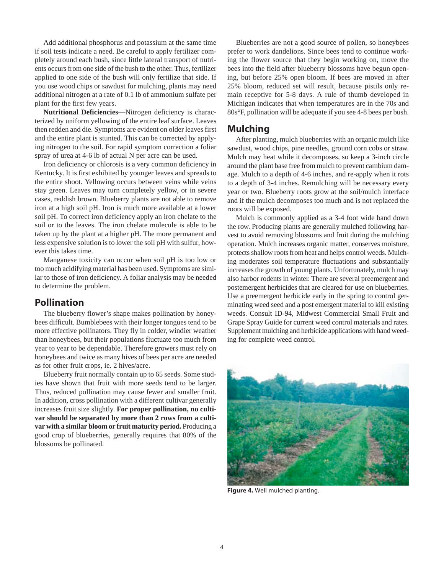Add additional phosphorus and potassium at the same time if soil tests indicate a need. Be careful to apply fertilizer completely around each bush, since little lateral transport of nutrients occurs from one side of the bush to the other. Thus, fertilizer applied to one side of the bush will only fertilize that side. If you use wood chips or sawdust for mulching, plants may need additional nitrogen at a rate of 0.1 lb of ammonium sulfate per plant for the first few years.

**Nutritional Deficiencies**—Nitrogen deficiency is characterized by uniform yellowing of the entire leaf surface. Leaves then redden and die. Symptoms are evident on older leaves first and the entire plant is stunted. This can be corrected by applying nitrogen to the soil. For rapid symptom correction a foliar spray of urea at 4-6 lb of actual N per acre can be used.

Iron deficiency or chlorosis is a very common deficiency in Kentucky. It is first exhibited by younger leaves and spreads to the entire shoot. Yellowing occurs between veins while veins stay green. Leaves may turn completely yellow, or in severe cases, reddish brown. Blueberry plants are not able to remove iron at a high soil pH. Iron is much more available at a lower soil pH. To correct iron deficiency apply an iron chelate to the soil or to the leaves. The iron chelate molecule is able to be taken up by the plant at a higher pH. The more permanent and less expensive solution is to lower the soil pH with sulfur, however this takes time.

Manganese toxicity can occur when soil pH is too low or too much acidifying material has been used. Symptoms are similar to those of iron deficiency. A foliar analysis may be needed to determine the problem.

# **Pollination**

The blueberry flower's shape makes pollination by honeybees difficult. Bumblebees with their longer tongues tend to be more effective pollinators. They fly in colder, windier weather than honeybees, but their populations fluctuate too much from year to year to be dependable. Therefore growers must rely on honeybees and twice as many hives of bees per acre are needed as for other fruit crops, ie. 2 hives/acre.

Blueberry fruit normally contain up to 65 seeds. Some studies have shown that fruit with more seeds tend to be larger. Thus, reduced pollination may cause fewer and smaller fruit. In addition, cross pollination with a different cultivar generally increases fruit size slightly. **For proper pollination, no cultivar should be separated by more than 2 rows from a cultivar with a similar bloom or fruit maturity period.** Producing a good crop of blueberries, generally requires that 80% of the blossoms be pollinated.

Blueberries are not a good source of pollen, so honeybees prefer to work dandelions. Since bees tend to continue working the flower source that they begin working on, move the bees into the field after blueberry blossoms have begun opening, but before 25% open bloom. If bees are moved in after 25% bloom, reduced set will result, because pistils only remain receptive for 5-8 days. A rule of thumb developed in Michigan indicates that when temperatures are in the 70s and 80s°F, pollination will be adequate if you see 4-8 bees per bush.

# **Mulching**

After planting, mulch blueberries with an organic mulch like sawdust, wood chips, pine needles, ground corn cobs or straw. Mulch may heat while it decomposes, so keep a 3-inch circle around the plant base free from mulch to prevent cambium damage. Mulch to a depth of 4-6 inches, and re-apply when it rots to a depth of 3-4 inches. Remulching will be necessary every year or two. Blueberry roots grow at the soil/mulch interface and if the mulch decomposes too much and is not replaced the roots will be exposed.

Mulch is commonly applied as a 3-4 foot wide band down the row. Producing plants are generally mulched following harvest to avoid removing blossoms and fruit during the mulching operation. Mulch increases organic matter, conserves moisture, protects shallow roots from heat and helps control weeds. Mulching moderates soil temperature fluctuations and substantially increases the growth of young plants. Unfortunately, mulch may also harbor rodents in winter. There are several preemergent and postemergent herbicides that are cleared for use on blueberries. Use a preemergent herbicide early in the spring to control germinating weed seed and a post emergent material to kill existing weeds. Consult ID-94, Midwest Commercial Small Fruit and Grape Spray Guide for current weed control materials and rates. Supplement mulching and herbicide applications with hand weeding for complete weed control.



**Figure 4.** Well mulched planting.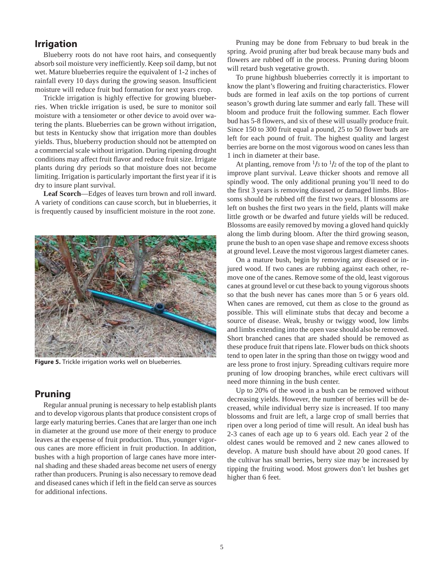# **Irrigation**

Blueberry roots do not have root hairs, and consequently absorb soil moisture very inefficiently. Keep soil damp, but not wet. Mature blueberries require the equivalent of 1-2 inches of rainfall every 10 days during the growing season. Insufficient moisture will reduce fruit bud formation for next years crop.

Trickle irrigation is highly effective for growing blueberries. When trickle irrigation is used, be sure to monitor soil moisture with a tensiometer or other device to avoid over watering the plants. Blueberries can be grown without irrigation, but tests in Kentucky show that irrigation more than doubles yields. Thus, blueberry production should not be attempted on a commercial scale without irrigation. During ripening drought conditions may affect fruit flavor and reduce fruit size. Irrigate plants during dry periods so that moisture does not become limiting. Irrigation is particularly important the first year if it is dry to insure plant survival.

**Leaf Scorch**—Edges of leaves turn brown and roll inward. A variety of conditions can cause scorch, but in blueberries, it is frequently caused by insufficient moisture in the root zone.



**Figure 5.** Trickle irrigation works well on blueberries.

# **Pruning**

Regular annual pruning is necessary to help establish plants and to develop vigorous plants that produce consistent crops of large early maturing berries. Canes that are larger than one inch in diameter at the ground use more of their energy to produce leaves at the expense of fruit production. Thus, younger vigorous canes are more efficient in fruit production. In addition, bushes with a high proportion of large canes have more internal shading and these shaded areas become net users of energy rather than producers. Pruning is also necessary to remove dead and diseased canes which if left in the field can serve as sources for additional infections.

Pruning may be done from February to bud break in the spring. Avoid pruning after bud break because many buds and flowers are rubbed off in the process. Pruning during bloom will retard bush vegetative growth.

To prune highbush blueberries correctly it is important to know the plant's flowering and fruiting characteristics. Flower buds are formed in leaf axils on the top portions of current season's growth during late summer and early fall. These will bloom and produce fruit the following summer. Each flower bud has 5-8 flowers, and six of these will usually produce fruit. Since 150 to 300 fruit equal a pound, 25 to 50 flower buds are left for each pound of fruit. The highest quality and largest berries are borne on the most vigorous wood on canes less than 1 inch in diameter at their base.

At planting, remove from  $\frac{1}{3}$  to  $\frac{1}{2}$  of the top of the plant to improve plant survival. Leave thicker shoots and remove all spindly wood. The only additional pruning you'll need to do the first 3 years is removing diseased or damaged limbs. Blossoms should be rubbed off the first two years. If blossoms are left on bushes the first two years in the field, plants will make little growth or be dwarfed and future yields will be reduced. Blossoms are easily removed by moving a gloved hand quickly along the limb during bloom. After the third growing season, prune the bush to an open vase shape and remove excess shoots at ground level. Leave the most vigorous largest diameter canes.

On a mature bush, begin by removing any diseased or injured wood. If two canes are rubbing against each other, remove one of the canes. Remove some of the old, least vigorous canes at ground level or cut these back to young vigorous shoots so that the bush never has canes more than 5 or 6 years old. When canes are removed, cut them as close to the ground as possible. This will eliminate stubs that decay and become a source of disease. Weak, brushy or twiggy wood, low limbs and limbs extending into the open vase should also be removed. Short branched canes that are shaded should be removed as these produce fruit that ripens late. Flower buds on thick shoots tend to open later in the spring than those on twiggy wood and are less prone to frost injury. Spreading cultivars require more pruning of low drooping branches, while erect cultivars will need more thinning in the bush center.

Up to 20% of the wood in a bush can be removed without decreasing yields. However, the number of berries will be decreased, while individual berry size is increased. If too many blossoms and fruit are left, a large crop of small berries that ripen over a long period of time will result. An ideal bush has 2-3 canes of each age up to 6 years old. Each year 2 of the oldest canes would be removed and 2 new canes allowed to develop. A mature bush should have about 20 good canes. If the cultivar has small berries, berry size may be increased by tipping the fruiting wood. Most growers don't let bushes get higher than 6 feet.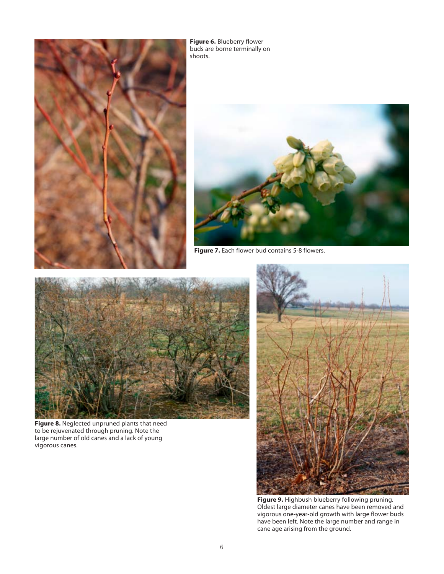

**Figure 6.** Blueberry flower buds are borne terminally on shoots.



**Figure 7.** Each flower bud contains 5-8 flowers.



**Figure 8.** Neglected unpruned plants that need to be rejuvenated through pruning. Note the large number of old canes and a lack of young vigorous canes.



**Figure 9.** Highbush blueberry following pruning. Oldest large diameter canes have been removed and vigorous one-year-old growth with large flower buds have been left. Note the large number and range in cane age arising from the ground.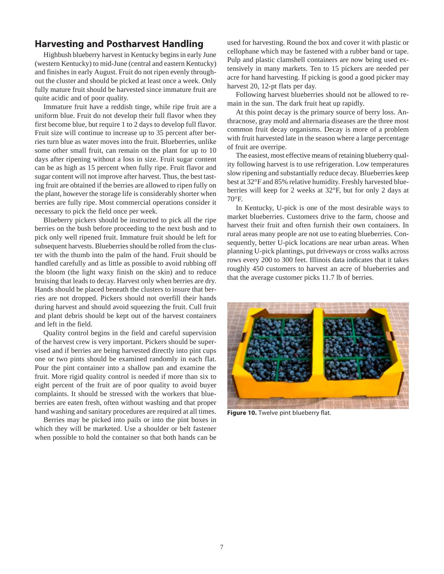# **Harvesting and Postharvest Handling**

Highbush blueberry harvest in Kentucky begins in early June (western Kentucky) to mid-June (central and eastern Kentucky) and finishes in early August. Fruit do not ripen evenly throughout the cluster and should be picked at least once a week. Only fully mature fruit should be harvested since immature fruit are quite acidic and of poor quality.

Immature fruit have a reddish tinge, while ripe fruit are a uniform blue. Fruit do not develop their full flavor when they first become blue, but require 1 to 2 days to develop full flavor. Fruit size will continue to increase up to 35 percent after berries turn blue as water moves into the fruit. Blueberries, unlike some other small fruit, can remain on the plant for up to 10 days after ripening without a loss in size. Fruit sugar content can be as high as 15 percent when fully ripe. Fruit flavor and sugar content will not improve after harvest. Thus, the best tasting fruit are obtained if the berries are allowed to ripen fully on the plant, however the storage life is considerably shorter when berries are fully ripe. Most commercial operations consider it necessary to pick the field once per week.

Blueberry pickers should be instructed to pick all the ripe berries on the bush before proceeding to the next bush and to pick only well ripened fruit. Immature fruit should be left for subsequent harvests. Blueberries should be rolled from the cluster with the thumb into the palm of the hand. Fruit should be handled carefully and as little as possible to avoid rubbing off the bloom (the light waxy finish on the skin) and to reduce bruising that leads to decay. Harvest only when berries are dry. Hands should be placed beneath the clusters to insure that berries are not dropped. Pickers should not overfill their hands during harvest and should avoid squeezing the fruit. Cull fruit and plant debris should be kept out of the harvest containers and left in the field.

Quality control begins in the field and careful supervision of the harvest crew is very important. Pickers should be supervised and if berries are being harvested directly into pint cups one or two pints should be examined randomly in each flat. Pour the pint container into a shallow pan and examine the fruit. More rigid quality control is needed if more than six to eight percent of the fruit are of poor quality to avoid buyer complaints. It should be stressed with the workers that blueberries are eaten fresh, often without washing and that proper hand washing and sanitary procedures are required at all times.

Berries may be picked into pails or into the pint boxes in which they will be marketed. Use a shoulder or belt fastener when possible to hold the container so that both hands can be used for harvesting. Round the box and cover it with plastic or cellophane which may be fastened with a rubber band or tape. Pulp and plastic clamshell containers are now being used extensively in many markets. Ten to 15 pickers are needed per acre for hand harvesting. If picking is good a good picker may harvest 20, 12-pt flats per day.

Following harvest blueberries should not be allowed to remain in the sun. The dark fruit heat up rapidly.

At this point decay is the primary source of berry loss. Anthracnose, gray mold and alternaria diseases are the three most common fruit decay organisms. Decay is more of a problem with fruit harvested late in the season where a large percentage of fruit are overripe.

The easiest, most effective means of retaining blueberry quality following harvest is to use refrigeration. Low temperatures slow ripening and substantially reduce decay. Blueberries keep best at 32°F and 85% relative humidity. Freshly harvested blueberries will keep for 2 weeks at 32°F, but for only 2 days at 70°F.

In Kentucky, U-pick is one of the most desirable ways to market blueberries. Customers drive to the farm, choose and harvest their fruit and often furnish their own containers. In rural areas many people are not use to eating blueberries. Consequently, better U-pick locations are near urban areas. When planning U-pick plantings, put driveways or cross walks across rows every 200 to 300 feet. Illinois data indicates that it takes roughly 450 customers to harvest an acre of blueberries and that the average customer picks 11.7 lb of berries.



**Figure 10.** Twelve pint blueberry flat.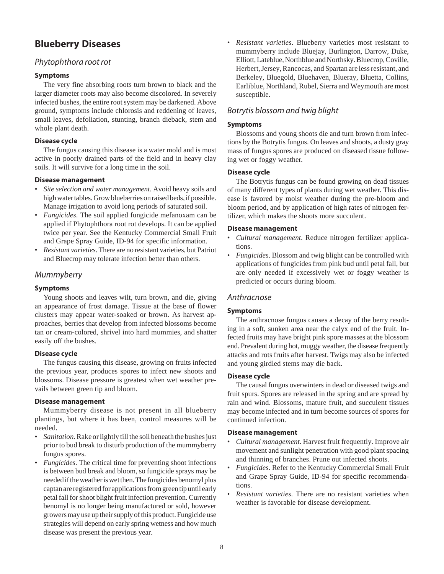# **Blueberry Diseases**

# Phytophthora root rot

#### **Symptoms**

The very fine absorbing roots turn brown to black and the larger diameter roots may also become discolored. In severely infected bushes, the entire root system may be darkened. Above ground, symptoms include chlorosis and reddening of leaves, small leaves, defoliation, stunting, branch dieback, stem and whole plant death.

#### **Disease cycle**

The fungus causing this disease is a water mold and is most active in poorly drained parts of the field and in heavy clay soils. It will survive for a long time in the soil.

#### **Disease management**

- *Site selection and water management*. Avoid heavy soils and high water tables. Grow blueberries on raised beds, if possible. Manage irrigation to avoid long periods of saturated soil.
- *Fungicides*. The soil applied fungicide mefanoxam can be applied if Phytophthora root rot develops. It can be applied twice per year. See the Kentucky Commercial Small Fruit and Grape Spray Guide, ID-94 for specific information.
- *Resistant varieties*. There are no resistant varieties, but Patriot and Bluecrop may tolerate infection better than others.

# Mummyberry

#### **Symptoms**

Young shoots and leaves wilt, turn brown, and die, giving an appearance of frost damage. Tissue at the base of flower clusters may appear water-soaked or brown. As harvest approaches, berries that develop from infected blossoms become tan or cream-colored, shrivel into hard mummies, and shatter easily off the bushes.

#### **Disease cycle**

The fungus causing this disease, growing on fruits infected the previous year, produces spores to infect new shoots and blossoms. Disease pressure is greatest when wet weather prevails between green tip and bloom.

#### **Disease management**

Mummyberry disease is not present in all blueberry plantings, but where it has been, control measures will be needed.

- *Sanitation*. Rake or lightly till the soil beneath the bushes just prior to bud break to disturb production of the mummyberry fungus spores.
- *Fungicides*. The critical time for preventing shoot infections is between bud break and bloom, so fungicide sprays may be needed if the weather is wet then. The fungicides benomyl plus captan are registered for applications from green tip until early petal fall for shoot blight fruit infection prevention. Currently benomyl is no longer being manufactured or sold, however growers may use up their supply of this product. Fungicide use strategies will depend on early spring wetness and how much disease was present the previous year.

• *Resistant varieties*. Blueberry varieties most resistant to mummyberry include Bluejay, Burlington, Darrow, Duke, Elliott, Lateblue, Northblue and Northsky. Bluecrop, Coville, Herbert, Jersey, Rancocas, and Spartan are less resistant, and Berkeley, Bluegold, Bluehaven, Blueray, Bluetta, Collins, Earliblue, Northland, Rubel, Sierra and Weymouth are most susceptible.

# Botrytis blossom and twig blight

#### **Symptoms**

Blossoms and young shoots die and turn brown from infections by the Botrytis fungus. On leaves and shoots, a dusty gray mass of fungus spores are produced on diseased tissue following wet or foggy weather.

#### **Disease cycle**

The Botrytis fungus can be found growing on dead tissues of many different types of plants during wet weather. This disease is favored by moist weather during the pre-bloom and bloom period, and by application of high rates of nitrogen fertilizer, which makes the shoots more succulent.

#### **Disease management**

- *Cultural management*. Reduce nitrogen fertilizer applications.
- *Fungicides*. Blossom and twig blight can be controlled with applications of fungicides from pink bud until petal fall, but are only needed if excessively wet or foggy weather is predicted or occurs during bloom.

# Anthracnose

#### **Symptoms**

The anthracnose fungus causes a decay of the berry resulting in a soft, sunken area near the calyx end of the fruit. Infected fruits may have bright pink spore masses at the blossom end. Prevalent during hot, muggy weather, the disease frequently attacks and rots fruits after harvest. Twigs may also be infected and young girdled stems may die back.

#### **Disease cycle**

The causal fungus overwinters in dead or diseased twigs and fruit spurs. Spores are released in the spring and are spread by rain and wind. Blossoms, mature fruit, and succulent tissues may become infected and in turn become sources of spores for continued infection.

#### **Disease management**

- *Cultural management*. Harvest fruit frequently. Improve air movement and sunlight penetration with good plant spacing and thinning of branches. Prune out infected shoots.
- *Fungicides*. Refer to the Kentucky Commercial Small Fruit and Grape Spray Guide, ID-94 for specific recommendations.
- *Resistant varieties*. There are no resistant varieties when weather is favorable for disease development.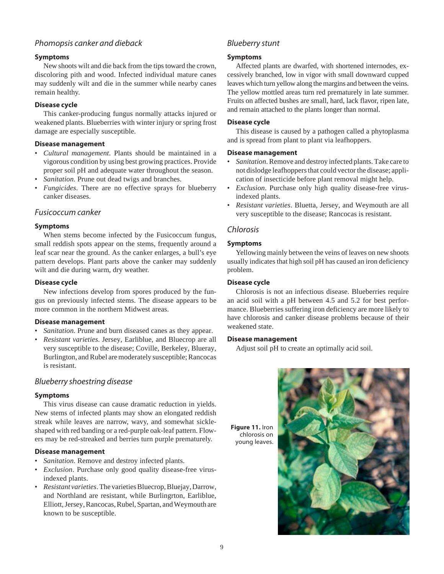# Phomopsis canker and dieback

#### **Symptoms**

New shoots wilt and die back from the tips toward the crown, discoloring pith and wood. Infected individual mature canes may suddenly wilt and die in the summer while nearby canes remain healthy.

#### **Disease cycle**

This canker-producing fungus normally attacks injured or weakened plants. Blueberries with winter injury or spring frost damage are especially susceptible.

#### **Disease management**

- *Cultural management*. Plants should be maintained in a vigorous condition by using best growing practices. Provide proper soil pH and adequate water throughout the season.
- Sanitation. Prune out dead twigs and branches.
- *Fungicides*. There are no effective sprays for blueberry canker diseases.

#### Fusicoccum canker

#### **Symptoms**

When stems become infected by the Fusicoccum fungus, small reddish spots appear on the stems, frequently around a leaf scar near the ground. As the canker enlarges, a bull's eye pattern develops. Plant parts above the canker may suddenly wilt and die during warm, dry weather.

#### **Disease cycle**

New infections develop from spores produced by the fungus on previously infected stems. The disease appears to be more common in the northern Midwest areas.

#### **Disease management**

- Sanitation. Prune and burn diseased canes as they appear.
- *Resistant varieties*. Jersey, Earliblue, and Bluecrop are all very susceptible to the disease; Coville, Berkeley, Blueray, Burlington, and Rubel are moderately susceptible; Rancocas is resistant.

#### Blueberry shoestring disease

#### **Symptoms**

This virus disease can cause dramatic reduction in yields. New stems of infected plants may show an elongated reddish streak while leaves are narrow, wavy, and somewhat sickleshaped with red banding or a red-purple oak-leaf pattern. Flowers may be red-streaked and berries turn purple prematurely.

#### **Disease management**

- Sanitation. Remove and destroy infected plants.
- *Exclusion*. Purchase only good quality disease-free virusindexed plants.
- *Resistant varieties*. The varieties Bluecrop, Bluejay, Darrow, and Northland are resistant, while Burlingrton, Earliblue, Elliott, Jersey, Rancocas, Rubel, Spartan, and Weymouth are known to be susceptible.

# Blueberry stunt

#### **Symptoms**

Affected plants are dwarfed, with shortened internodes, excessively branched, low in vigor with small downward cupped leaves which turn yellow along the margins and between the veins. The yellow mottled areas turn red prematurely in late summer. Fruits on affected bushes are small, hard, lack flavor, ripen late, and remain attached to the plants longer than normal.

#### **Disease cycle**

This disease is caused by a pathogen called a phytoplasma and is spread from plant to plant via leafhoppers.

#### **Disease management**

- *Sanitation*. Remove and destroy infected plants. Take care to not dislodge leafhoppers that could vector the disease; application of insecticide before plant removal might help.
- *Exclusion*. Purchase only high quality disease-free virusindexed plants.
- *Resistant varieties*. Bluetta, Jersey, and Weymouth are all very susceptible to the disease; Rancocas is resistant.

#### Chlorosis

#### **Symptoms**

Yellowing mainly between the veins of leaves on new shoots usually indicates that high soil pH has caused an iron deficiency problem.

#### **Disease cycle**

Chlorosis is not an infectious disease. Blueberries require an acid soil with a pH between 4.5 and 5.2 for best performance. Blueberries suffering iron deficiency are more likely to have chlorosis and canker disease problems because of their weakened state.

#### **Disease management**

Adjust soil pH to create an optimally acid soil.



**Figure 11.** Iron chlorosis on young leaves.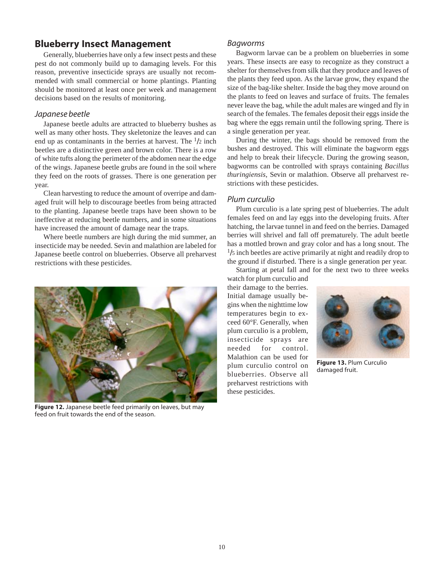# **Blueberry Insect Management**

Generally, blueberries have only a few insect pests and these pest do not commonly build up to damaging levels. For this reason, preventive insecticide sprays are usually not recommended with small commercial or home plantings. Planting should be monitored at least once per week and management decisions based on the results of monitoring.

#### Japanese beetle

Japanese beetle adults are attracted to blueberry bushes as well as many other hosts. They skeletonize the leaves and can end up as contaminants in the berries at harvest. The  $\frac{1}{2}$  inch beetles are a distinctive green and brown color. There is a row of white tufts along the perimeter of the abdomen near the edge of the wings. Japanese beetle grubs are found in the soil where they feed on the roots of grasses. There is one generation per year.

Clean harvesting to reduce the amount of overripe and damaged fruit will help to discourage beetles from being attracted to the planting. Japanese beetle traps have been shown to be ineffective at reducing beetle numbers, and in some situations have increased the amount of damage near the traps.

Where beetle numbers are high during the mid summer, an insecticide may be needed. Sevin and malathion are labeled for Japanese beetle control on blueberries. Observe all preharvest restrictions with these pesticides.



**Figure 12.** Japanese beetle feed primarily on leaves, but may feed on fruit towards the end of the season.

#### Bagworms

Bagworm larvae can be a problem on blueberries in some years. These insects are easy to recognize as they construct a shelter for themselves from silk that they produce and leaves of the plants they feed upon. As the larvae grow, they expand the size of the bag-like shelter. Inside the bag they move around on the plants to feed on leaves and surface of fruits. The females never leave the bag, while the adult males are winged and fly in search of the females. The females deposit their eggs inside the bag where the eggs remain until the following spring. There is a single generation per year.

During the winter, the bags should be removed from the bushes and destroyed. This will eliminate the bagworm eggs and help to break their lifecycle. During the growing season, bagworms can be controlled with sprays containing *Bacillus thuringiensis*, Sevin or malathion. Observe all preharvest restrictions with these pesticides.

#### Plum curculio

Plum curculio is a late spring pest of blueberries. The adult females feed on and lay eggs into the developing fruits. After hatching, the larvae tunnel in and feed on the berries. Damaged berries will shrivel and fall off prematurely. The adult beetle has a mottled brown and gray color and has a long snout. The  $1/5$  inch beetles are active primarily at night and readily drop to the ground if disturbed. There is a single generation per year.

Starting at petal fall and for the next two to three weeks

watch for plum curculio and their damage to the berries. Initial damage usually begins when the nighttime low temperatures begin to exceed 60°F. Generally, when plum curculio is a problem, insecticide sprays are needed for control. Malathion can be used for plum curculio control on blueberries. Observe all preharvest restrictions with these pesticides.



**Figure 13.** Plum Curculio damaged fruit.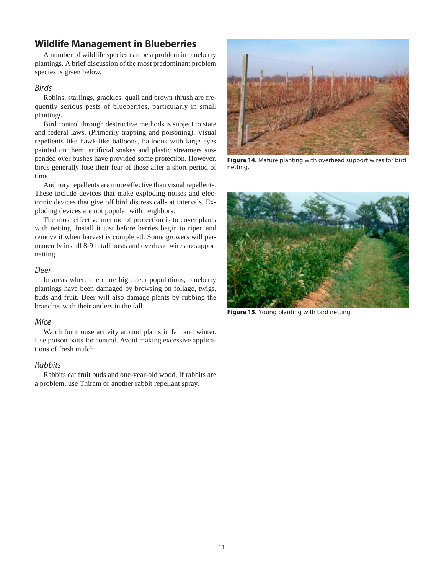# **Wildlife Management in Blueberries**

A number of wildlife species can be a problem in blueberry plantings. A brief discussion of the most predominant problem species is given below.

#### Birds

Robins, starlings, grackles, quail and brown thrush are frequently serious pests of blueberries, particularly in small plantings.

Bird control through destructive methods is subject to state and federal laws. (Primarily trapping and poisoning). Visual repellents like hawk-like balloons, balloons with large eyes painted on them, artificial snakes and plastic streamers suspended over bushes have provided some protection. However, birds generally lose their fear of these after a short period of time.

Auditory repellents are more effective than visual repellents. These include devices that make exploding noises and electronic devices that give off bird distress calls at intervals. Exploding devices are not popular with neighbors.

The most effective method of protection is to cover plants with netting. Install it just before berries begin to ripen and remove it when harvest is completed. Some growers will permanently install 8-9 ft tall posts and overhead wires to support netting.

#### Deer

In areas where there are high deer populations, blueberry plantings have been damaged by browsing on foliage, twigs, buds and fruit. Deer will also damage plants by rubbing the branches with their antlers in the fall.

#### Mice

Watch for mouse activity around plants in fall and winter. Use poison baits for control. Avoid making excessive applications of fresh mulch.

#### Rabbits

Rabbits eat fruit buds and one-year-old wood. If rabbits are a problem, use Thiram or another rabbit repellant spray.



**Figure 14.** Mature planting with overhead support wires for bird netting.



**Figure 15.** Young planting with bird netting.